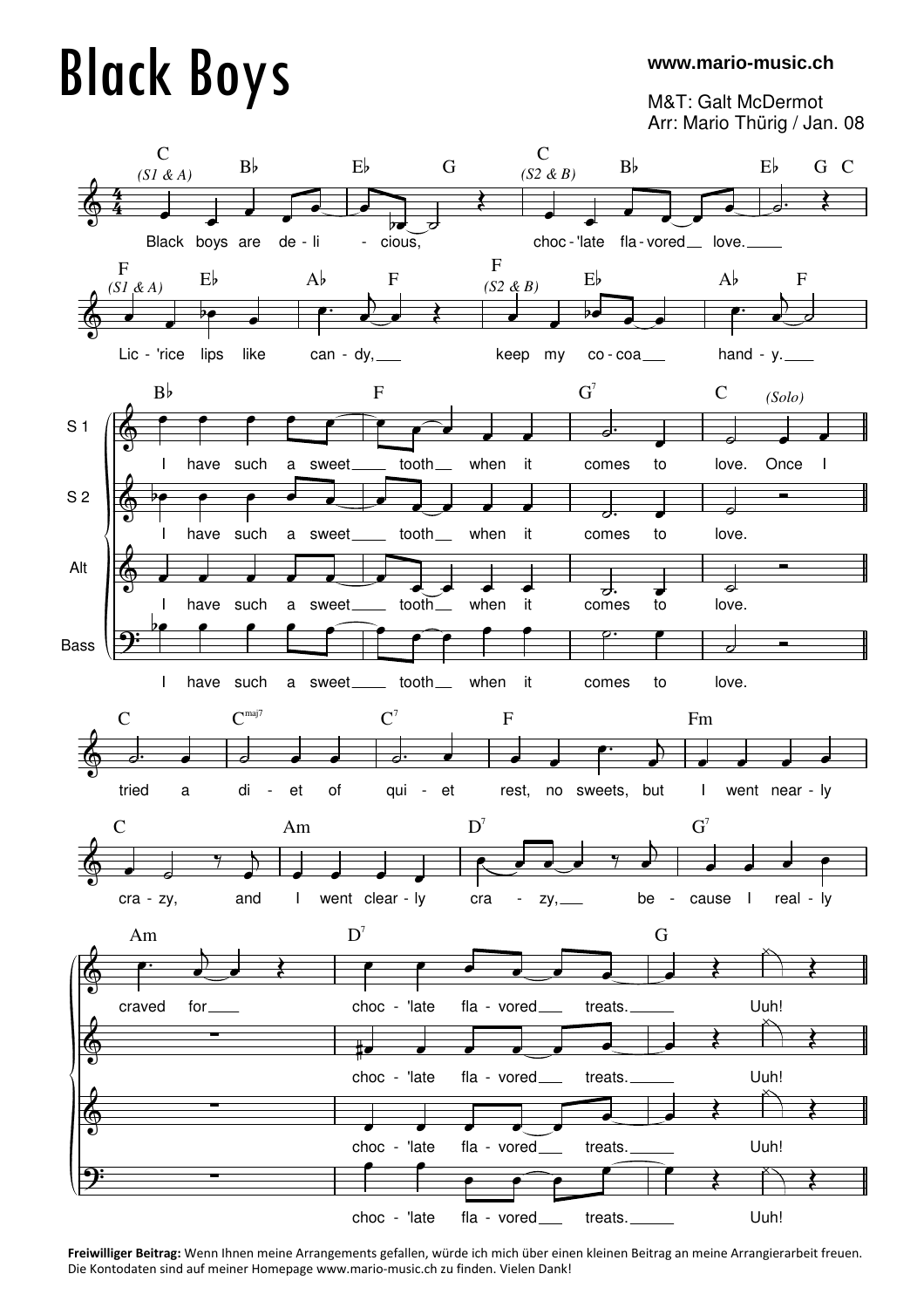## Black Boys

## **www.mario-music.ch**

M&T: Galt McDermot Arr: Mario Thürig / Jan. 08



**Freiwilliger Beitrag:** Wenn Ihnen meine Arrangements gefallen, würde ich mich über einen kleinen Beitrag an meine Arrangierarbeit freuen. Die Kontodaten sind auf meiner Homepage www.mario-music.ch zu finden. Vielen Dank!